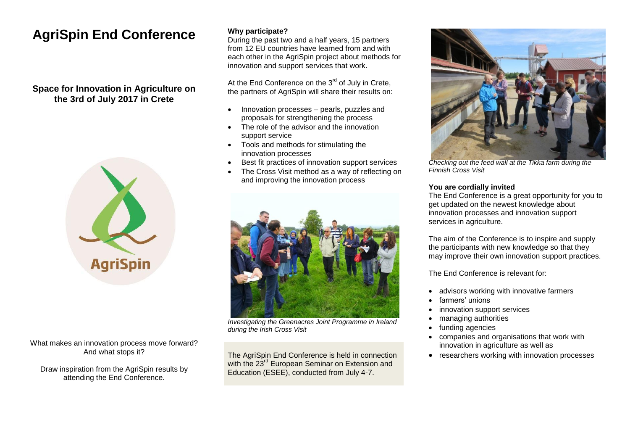# **AgriSpin End Conference**

## **Space for Innovation in Agriculture on the 3rd of July 2017 in Crete**



What makes an innovation process move forward? And what stops it?

Draw inspiration from the AgriSpin results by attending the End Conference.

### **Why participate?**

During the past two and a half years, 15 partners from 12 EU countries have learned from and with each other in the AgriSpin project about methods for innovation and support services that work.

At the End Conference on the 3<sup>rd</sup> of July in Crete. the partners of AgriSpin will share their results on:

- Innovation processes pearls, puzzles and proposals for strengthening the process
- The role of the advisor and the innovation support service
- Tools and methods for stimulating the innovation processes
- Best fit practices of innovation support services
- The Cross Visit method as a way of reflecting on and improving the innovation process



*Investigating the Greenacres Joint Programme in Ireland during the Irish Cross Visit*

The AgriSpin End Conference is held in connection with the 23<sup>rd</sup> European Seminar on Extension and Education (ESEE), conducted from July 4-7.



*Checking out the feed wall at the Tikka farm during the Finnish Cross Visit*

#### **You are cordially invited**

The End Conference is a great opportunity for you to get updated on the newest knowledge about innovation processes and innovation support services in agriculture.

The aim of the Conference is to inspire and supply the participants with new knowledge so that they may improve their own innovation support practices.

The End Conference is relevant for:

- advisors working with innovative farmers
- farmers' unions
- innovation support services
- managing authorities
- funding agencies
- companies and organisations that work with innovation in agriculture as well as
- researchers working with innovation processes